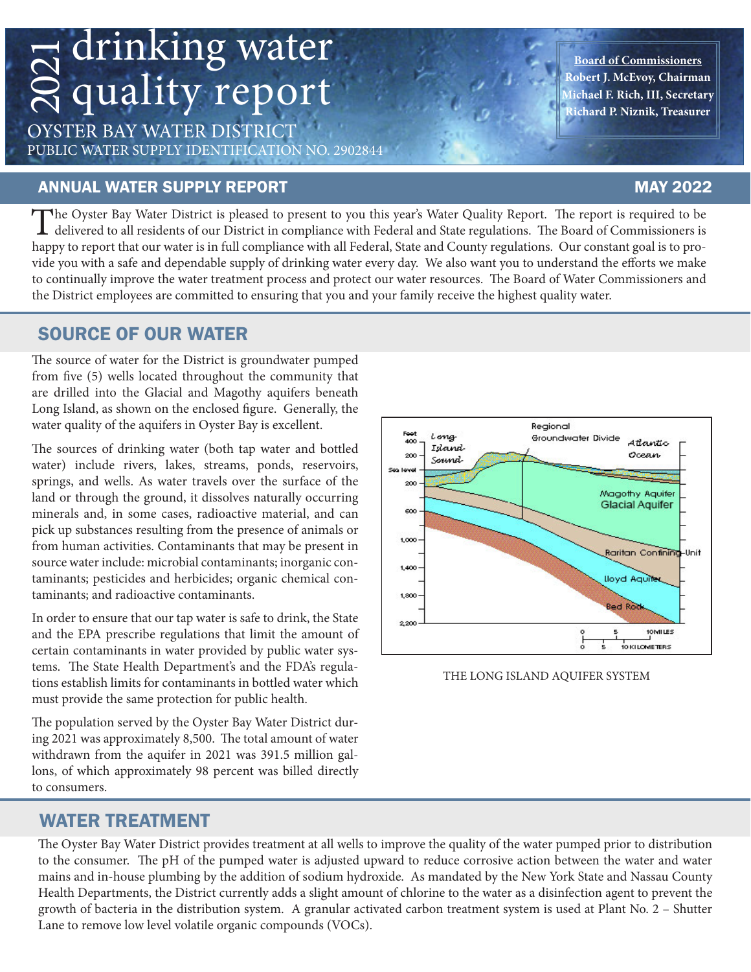# drinking water 2021 quality report

OYSTER BAY WATER DISTRICT PUBLIC WATER SUPPLY IDENTIFICATION NO. 2902844

### ANNUAL WATER SUPPLY REPORT MAY 2022

### **Board of Commissioners Robert J. McEvoy, Chairman Michael F. Rich, III, Secretary Richard P. Niznik, Treasurer**

The Oyster Bay Water District is pleased to present to you this year's Water Quality Report. The report is required to be delivered to all residents of our District in compliance with Federal and State regulations. The Boa happy to report that our water is in full compliance with all Federal, State and County regulations. Our constant goal is to provide you with a safe and dependable supply of drinking water every day. We also want you to understand the efforts we make to continually improve the water treatment process and protect our water resources. The Board of Water Commissioners and the District employees are committed to ensuring that you and your family receive the highest quality water.

### SOURCE OF OUR WATER

The source of water for the District is groundwater pumped from five (5) wells located throughout the community that are drilled into the Glacial and Magothy aquifers beneath Long Island, as shown on the enclosed figure. Generally, the water quality of the aquifers in Oyster Bay is excellent.

The sources of drinking water (both tap water and bottled water) include rivers, lakes, streams, ponds, reservoirs, springs, and wells. As water travels over the surface of the land or through the ground, it dissolves naturally occurring minerals and, in some cases, radioactive material, and can pick up substances resulting from the presence of animals or from human activities. Contaminants that may be present in source water include: microbial contaminants; inorganic contaminants; pesticides and herbicides; organic chemical contaminants; and radioactive contaminants.

In order to ensure that our tap water is safe to drink, the State and the EPA prescribe regulations that limit the amount of certain contaminants in water provided by public water systems. The State Health Department's and the FDA's regulations establish limits for contaminants in bottled water which must provide the same protection for public health.

The population served by the Oyster Bay Water District during 2021 was approximately 8,500. The total amount of water withdrawn from the aquifer in 2021 was 391.5 million gallons, of which approximately 98 percent was billed directly to consumers.



The Oyster Bay Water District provides treatment at all wells to improve the quality of the water pumped prior to distribution to the consumer. The pH of the pumped water is adjusted upward to reduce corrosive action between the water and water mains and in-house plumbing by the addition of sodium hydroxide. As mandated by the New York State and Nassau County Health Departments, the District currently adds a slight amount of chlorine to the water as a disinfection agent to prevent the growth of bacteria in the distribution system. A granular activated carbon treatment system is used at Plant No. 2 – Shutter Lane to remove low level volatile organic compounds (VOCs).



THE LONG ISLAND AQUIFER SYSTEM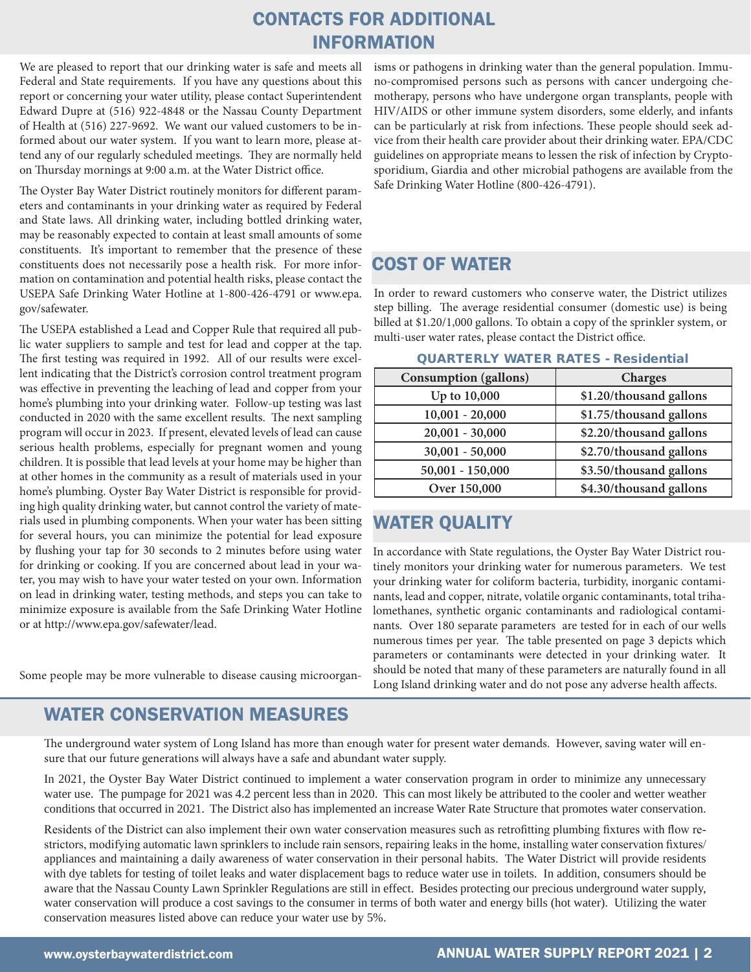### CONTACTS FOR ADDITIONAL INFORMATION

We are pleased to report that our drinking water is safe and meets all Federal and State requirements. If you have any questions about this report or concerning your water utility, please contact Superintendent Edward Dupre at (516) 922-4848 or the Nassau County Department of Health at (516) 227-9692. We want our valued customers to be informed about our water system. If you want to learn more, please attend any of our regularly scheduled meetings. They are normally held on Thursday mornings at 9:00 a.m. at the Water District office.

The Oyster Bay Water District routinely monitors for different parameters and contaminants in your drinking water as required by Federal and State laws. All drinking water, including bottled drinking water, may be reasonably expected to contain at least small amounts of some constituents. It's important to remember that the presence of these constituents does not necessarily pose a health risk. For more information on contamination and potential health risks, please contact the USEPA Safe Drinking Water Hotline at 1-800-426-4791 or www.epa. gov/safewater.

The USEPA established a Lead and Copper Rule that required all public water suppliers to sample and test for lead and copper at the tap. The first testing was required in 1992. All of our results were excellent indicating that the District's corrosion control treatment program was effective in preventing the leaching of lead and copper from your home's plumbing into your drinking water. Follow-up testing was last conducted in 2020 with the same excellent results. The next sampling program will occur in 2023. If present, elevated levels of lead can cause serious health problems, especially for pregnant women and young children. It is possible that lead levels at your home may be higher than at other homes in the community as a result of materials used in your home's plumbing. Oyster Bay Water District is responsible for providing high quality drinking water, but cannot control the variety of materials used in plumbing components. When your water has been sitting for several hours, you can minimize the potential for lead exposure by flushing your tap for 30 seconds to 2 minutes before using water for drinking or cooking. If you are concerned about lead in your water, you may wish to have your water tested on your own. Information on lead in drinking water, testing methods, and steps you can take to minimize exposure is available from the Safe Drinking Water Hotline or at http://www.epa.gov/safewater/lead.

Some people may be more vulnerable to disease causing microorgan-

### WATER CONSERVATION MEASURES

isms or pathogens in drinking water than the general population. Immuno-compromised persons such as persons with cancer undergoing chemotherapy, persons who have undergone organ transplants, people with HIV/AIDS or other immune system disorders, some elderly, and infants can be particularly at risk from infections. These people should seek advice from their health care provider about their drinking water. EPA/CDC guidelines on appropriate means to lessen the risk of infection by Cryptosporidium, Giardia and other microbial pathogens are available from the Safe Drinking Water Hotline (800-426-4791).

### COST OF WATER

In order to reward customers who conserve water, the District utilizes step billing. The average residential consumer (domestic use) is being billed at \$1.20/1,000 gallons. To obtain a copy of the sprinkler system, or multi-user water rates, please contact the District office.

| <b>Consumption</b> (gallons) | Charges                 |
|------------------------------|-------------------------|
| Up to 10,000                 | \$1.20/thousand gallons |
| $10,001 - 20,000$            | \$1.75/thousand gallons |
| $20,001 - 30,000$            | \$2.20/thousand gallons |
| $30,001 - 50,000$            | \$2.70/thousand gallons |
| $50,001 - 150,000$           | \$3.50/thousand gallons |
| Over 150,000                 | \$4.30/thousand gallons |

#### QUARTERLY WATER RATES - Residential

### WATER QUALITY

In accordance with State regulations, the Oyster Bay Water District routinely monitors your drinking water for numerous parameters. We test your drinking water for coliform bacteria, turbidity, inorganic contaminants, lead and copper, nitrate, volatile organic contaminants, total trihalomethanes, synthetic organic contaminants and radiological contaminants. Over 180 separate parameters are tested for in each of our wells numerous times per year. The table presented on page 3 depicts which parameters or contaminants were detected in your drinking water. It should be noted that many of these parameters are naturally found in all Long Island drinking water and do not pose any adverse health affects.

The underground water system of Long Island has more than enough water for present water demands. However, saving water will ensure that our future generations will always have a safe and abundant water supply.

In 2021, the Oyster Bay Water District continued to implement a water conservation program in order to minimize any unnecessary water use. The pumpage for 2021 was 4.2 percent less than in 2020. This can most likely be attributed to the cooler and wetter weather conditions that occurred in 2021. The District also has implemented an increase Water Rate Structure that promotes water conservation.

Residents of the District can also implement their own water conservation measures such as retrofitting plumbing fixtures with flow restrictors, modifying automatic lawn sprinklers to include rain sensors, repairing leaks in the home, installing water conservation fixtures/ appliances and maintaining a daily awareness of water conservation in their personal habits. The Water District will provide residents with dye tablets for testing of toilet leaks and water displacement bags to reduce water use in toilets. In addition, consumers should be aware that the Nassau County Lawn Sprinkler Regulations are still in effect. Besides protecting our precious underground water supply, water conservation will produce a cost savings to the consumer in terms of both water and energy bills (hot water). Utilizing the water conservation measures listed above can reduce your water use by 5%.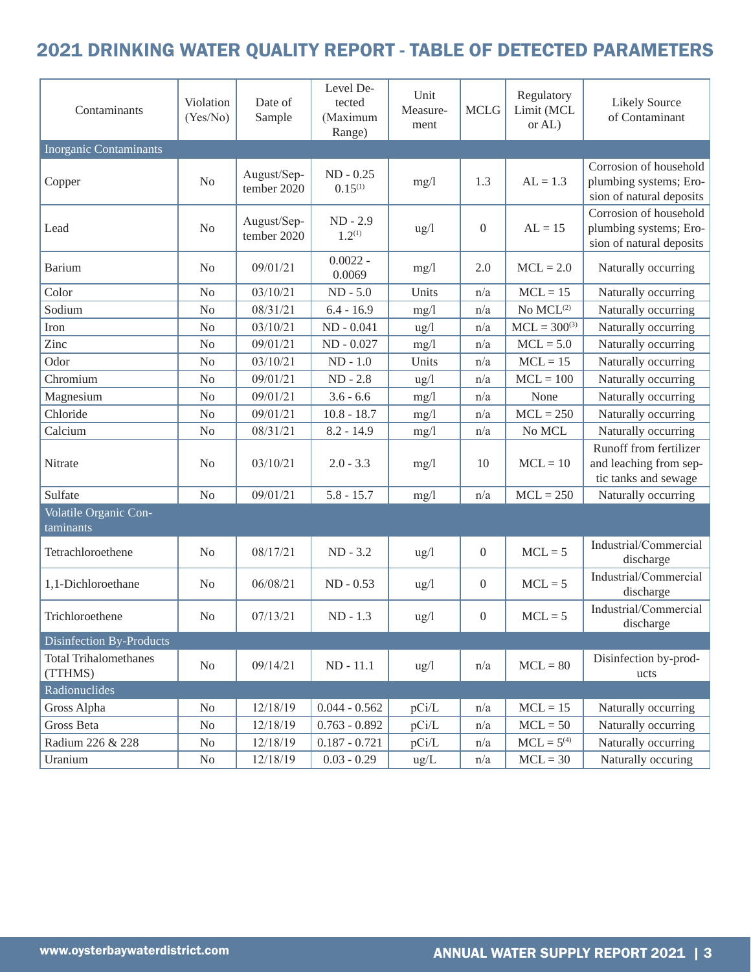## 2021 DRINKING WATER QUALITY REPORT - TABLE OF DETECTED PARAMETERS

| Contaminants                            | Violation<br>(Yes/No) | Date of<br>Sample          | Level De-<br>Unit<br>tected<br>Measure-<br>(Maximum<br>ment<br>Range) |                 | <b>MCLG</b>      | Regulatory<br>Limit (MCL<br>or AL) | <b>Likely Source</b><br>of Contaminant                                       |
|-----------------------------------------|-----------------------|----------------------------|-----------------------------------------------------------------------|-----------------|------------------|------------------------------------|------------------------------------------------------------------------------|
| <b>Inorganic Contaminants</b>           |                       |                            |                                                                       |                 |                  |                                    |                                                                              |
| Copper                                  | N <sub>o</sub>        | August/Sep-<br>tember 2020 | $ND - 0.25$<br>$0.15^{(1)}$                                           | mg/l            | 1.3              | $AL = 1.3$                         | Corrosion of household<br>plumbing systems; Ero-<br>sion of natural deposits |
| Lead                                    | N <sub>o</sub>        | August/Sep-<br>tember 2020 | $ND - 2.9$<br>$1.2^{(1)}$                                             | $\frac{u}{g}$   | $\overline{0}$   | $AL = 15$                          | Corrosion of household<br>plumbing systems; Ero-<br>sion of natural deposits |
| <b>Barium</b>                           | N <sub>0</sub>        | 09/01/21                   | $0.0022 -$<br>0.0069                                                  | mg/1            | 2.0              | $MCL = 2.0$                        | Naturally occurring                                                          |
| Color                                   | N <sub>o</sub>        | 03/10/21                   | $ND - 5.0$                                                            | Units           | n/a              | $MCL = 15$                         | Naturally occurring                                                          |
| Sodium                                  | N <sub>o</sub>        | 08/31/21                   | $6.4 - 16.9$                                                          | mg/1            | n/a              | No $MCL^{(2)}$                     | Naturally occurring                                                          |
| Iron                                    | N <sub>o</sub>        | 03/10/21                   | $ND - 0.041$                                                          | ug/l            | n/a              | $MCL = 300^{(3)}$                  | Naturally occurring                                                          |
| Zinc                                    | N <sub>o</sub>        | 09/01/21                   | ND - 0.027                                                            | mg/1            | n/a              | $MCL = 5.0$                        | Naturally occurring                                                          |
| Odor                                    | N <sub>o</sub>        | 03/10/21                   | $ND - 1.0$                                                            | Units           | n/a              | $MCL = 15$                         | Naturally occurring                                                          |
| Chromium                                | N <sub>o</sub>        | 09/01/21                   | $ND - 2.8$                                                            | ug/l            | n/a              | $MCL = 100$                        | Naturally occurring                                                          |
| Magnesium                               | N <sub>o</sub>        | 09/01/21                   | $3.6 - 6.6$                                                           | mg/1            | n/a              | None                               | Naturally occurring                                                          |
| Chloride                                | N <sub>o</sub>        | 09/01/21                   | $10.8 - 18.7$                                                         | mg/1            | n/a              | $MCL = 250$                        | Naturally occurring                                                          |
| Calcium                                 | N <sub>o</sub>        | 08/31/21                   | $8.2 - 14.9$                                                          | mg/1            | n/a              | No MCL                             | Naturally occurring                                                          |
| Nitrate                                 | N <sub>o</sub>        | 03/10/21                   | $2.0 - 3.3$                                                           | mg/1            | 10               | $MCL = 10$                         | Runoff from fertilizer<br>and leaching from sep-<br>tic tanks and sewage     |
| Sulfate                                 | N <sub>o</sub>        | 09/01/21                   | $5.8 - 15.7$                                                          | mg/1            | n/a              | $MCL = 250$                        | Naturally occurring                                                          |
| Volatile Organic Con-<br>taminants      |                       |                            |                                                                       |                 |                  |                                    |                                                                              |
| Tetrachloroethene                       | N <sub>o</sub>        | 08/17/21                   | $ND - 3.2$                                                            | $\frac{u}{g}$   | $\boldsymbol{0}$ | $MCL = 5$                          | Industrial/Commercial<br>discharge                                           |
| 1,1-Dichloroethane                      | N <sub>0</sub>        | 06/08/21                   | $ND - 0.53$                                                           | $\frac{u g}{l}$ | $\boldsymbol{0}$ | $MCL = 5$                          | Industrial/Commercial<br>discharge                                           |
| Trichloroethene                         | N <sub>o</sub>        | 07/13/21                   | $ND - 1.3$                                                            | $\frac{u g}{l}$ | $\boldsymbol{0}$ | $MCL = 5$                          | Industrial/Commercial<br>discharge                                           |
| Disinfection By-Products                |                       |                            |                                                                       |                 |                  |                                    |                                                                              |
| <b>Total Trihalomethanes</b><br>(TTHMS) | No                    | 09/14/21                   | ND - 11.1                                                             | $\frac{u g}{l}$ | n/a              | $MCL = 80$                         | Disinfection by-prod-<br>ucts                                                |
| Radionuclides                           |                       |                            |                                                                       |                 |                  |                                    |                                                                              |
| Gross Alpha                             | N <sub>0</sub>        | 12/18/19                   | $0.044 - 0.562$                                                       | pCi/L           | n/a              | $MCL = 15$                         | Naturally occurring                                                          |
| Gross Beta                              | No                    | 12/18/19                   | $0.763 - 0.892$                                                       | pCi/L           | n/a              | $MCL = 50$                         | Naturally occurring                                                          |
| Radium 226 & 228                        | $\rm No$              | 12/18/19                   | $0.187 - 0.721$                                                       | pCi/L           | n/a              | $MCL = 5^{(4)}$                    | Naturally occurring                                                          |
| Uranium                                 | $\rm No$              | 12/18/19                   | $0.03 - 0.29$                                                         | ug/L            | n/a              | $MCL = 30$                         | Naturally occuring                                                           |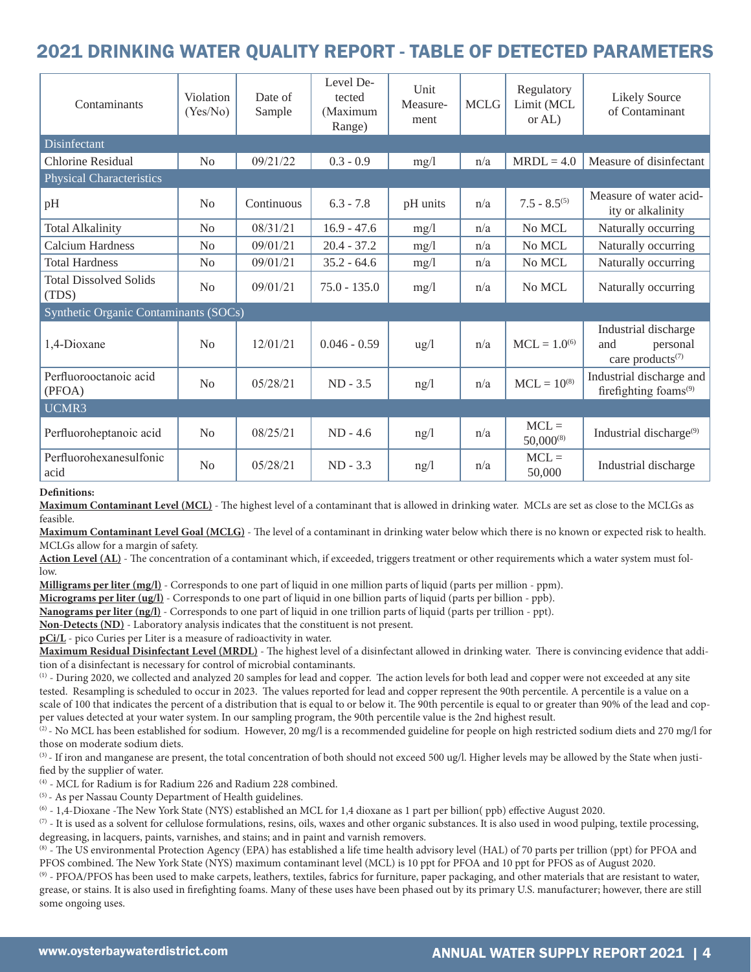### 2021 DRINKING WATER QUALITY REPORT - TABLE OF DETECTED PARAMETERS

| Contaminants                           | Violation<br>(Yes/No) | Date of<br>Sample       | Level De-<br>Unit<br>tected<br>Measure-<br>(Maximum<br>ment<br>Range) |                 | <b>MCLG</b> | Regulatory<br>Limit (MCL<br>or $AL$ ) | <b>Likely Source</b><br>of Contaminant                                  |  |
|----------------------------------------|-----------------------|-------------------------|-----------------------------------------------------------------------|-----------------|-------------|---------------------------------------|-------------------------------------------------------------------------|--|
| <b>Disinfectant</b>                    |                       |                         |                                                                       |                 |             |                                       |                                                                         |  |
| Chlorine Residual                      | No                    | 09/21/22<br>$0.3 - 0.9$ |                                                                       | mg/l            | n/a         | $MRDL = 4.0$                          | Measure of disinfectant                                                 |  |
| <b>Physical Characteristics</b>        |                       |                         |                                                                       |                 |             |                                       |                                                                         |  |
| pH                                     | N <sub>0</sub>        | Continuous              | $6.3 - 7.8$                                                           | pH units        | n/a         | $7.5 - 8.5^{(5)}$                     | Measure of water acid-<br>ity or alkalinity                             |  |
| <b>Total Alkalinity</b>                | No                    | 08/31/21                | $16.9 - 47.6$                                                         | mg/l            | n/a         | No MCL                                | Naturally occurring                                                     |  |
| Calcium Hardness                       | N <sub>0</sub>        | 09/01/21                | $20.4 - 37.2$                                                         | mg/1            | n/a         | No MCL                                | Naturally occurring                                                     |  |
| <b>Total Hardness</b>                  | No                    | 09/01/21                | $35.2 - 64.6$                                                         | mg/1            | n/a         | No MCL                                | Naturally occurring                                                     |  |
| <b>Total Dissolved Solids</b><br>(TDS) | No                    | 09/01/21                | $75.0 - 135.0$                                                        | mg/1            | n/a         | No MCL                                | Naturally occurring                                                     |  |
| Synthetic Organic Contaminants (SOCs)  |                       |                         |                                                                       |                 |             |                                       |                                                                         |  |
| 1,4-Dioxane                            | No                    | 12/01/21                | $0.046 - 0.59$                                                        | $\frac{u g}{l}$ | n/a         | $MCL = 1.0^{(6)}$                     | Industrial discharge<br>personal<br>and<br>care products <sup>(7)</sup> |  |
| Perfluorooctanoic acid<br>(PFOA)       | N <sub>0</sub>        | 05/28/21                | $ND - 3.5$                                                            | ng/l            | n/a         | $MCL = 10^{(8)}$                      | Industrial discharge and<br>firefighting foams <sup>(9)</sup>           |  |
| UCMR3                                  |                       |                         |                                                                       |                 |             |                                       |                                                                         |  |
| Perfluoroheptanoic acid                | No                    | 08/25/21                | $ND - 4.6$                                                            | ng/l            | n/a         | $MCL =$<br>$50,000^{(8)}$             | Industrial discharge <sup>(9)</sup>                                     |  |
| Perfluorohexanesulfonic<br>acid        | No                    | 05/28/21                | $ND - 3.3$                                                            | ng/l            | n/a         | $MCL =$<br>50,000                     | Industrial discharge                                                    |  |

#### **Definitions:**

**Maximum Contaminant Level (MCL)** - The highest level of a contaminant that is allowed in drinking water. MCLs are set as close to the MCLGs as feasible.

**Maximum Contaminant Level Goal (MCLG)** - The level of a contaminant in drinking water below which there is no known or expected risk to health. MCLGs allow for a margin of safety.

Action Level (AL) - The concentration of a contaminant which, if exceeded, triggers treatment or other requirements which a water system must follow.

**Milligrams per liter (mg/l)** - Corresponds to one part of liquid in one million parts of liquid (parts per million - ppm).

**Micrograms per liter (ug/l)** - Corresponds to one part of liquid in one billion parts of liquid (parts per billion - ppb).

**Nanograms per liter (ng/l)** - Corresponds to one part of liquid in one trillion parts of liquid (parts per trillion - ppt).

**Non-Detects (ND)** - Laboratory analysis indicates that the constituent is not present.

**pCi/L** - pico Curies per Liter is a measure of radioactivity in water.

**Maximum Residual Disinfectant Level (MRDL)** - The highest level of a disinfectant allowed in drinking water. There is convincing evidence that addition of a disinfectant is necessary for control of microbial contaminants.

(1) - During 2020, we collected and analyzed 20 samples for lead and copper. The action levels for both lead and copper were not exceeded at any site tested. Resampling is scheduled to occur in 2023. The values reported for lead and copper represent the 90th percentile. A percentile is a value on a scale of 100 that indicates the percent of a distribution that is equal to or below it. The 90th percentile is equal to or greater than 90% of the lead and copper values detected at your water system. In our sampling program, the 90th percentile value is the 2nd highest result.

 $\overline{p}$ . No MCL has been established for sodium. However, 20 mg/l is a recommended guideline for people on high restricted sodium diets and 270 mg/l for those on moderate sodium diets.

 $(3)$  - If iron and manganese are present, the total concentration of both should not exceed 500 ug/l. Higher levels may be allowed by the State when justified by the supplier of water.

(4) - MCL for Radium is for Radium 226 and Radium 228 combined.

(5) - As per Nassau County Department of Health guidelines.

(6) - 1,4-Dioxane -The New York State (NYS) established an MCL for 1,4 dioxane as 1 part per billion( ppb) effective August 2020.

 $(7)$  - It is used as a solvent for cellulose formulations, resins, oils, waxes and other organic substances. It is also used in wood pulping, textile processing, degreasing, in lacquers, paints, varnishes, and stains; and in paint and varnish removers.

<sup>(8)</sup> - The US environmental Protection Agency (EPA) has established a life time health advisory level (HAL) of 70 parts per trillion (ppt) for PFOA and PFOS combined. The New York State (NYS) maximum contaminant level (MC

(9) - PFOA/PFOS has been used to make carpets, leathers, textiles, fabrics for furniture, paper packaging, and other materials that are resistant to water, grease, or stains. It is also used in firefighting foams. Many of these uses have been phased out by its primary U.S. manufacturer; however, there are still some ongoing uses.